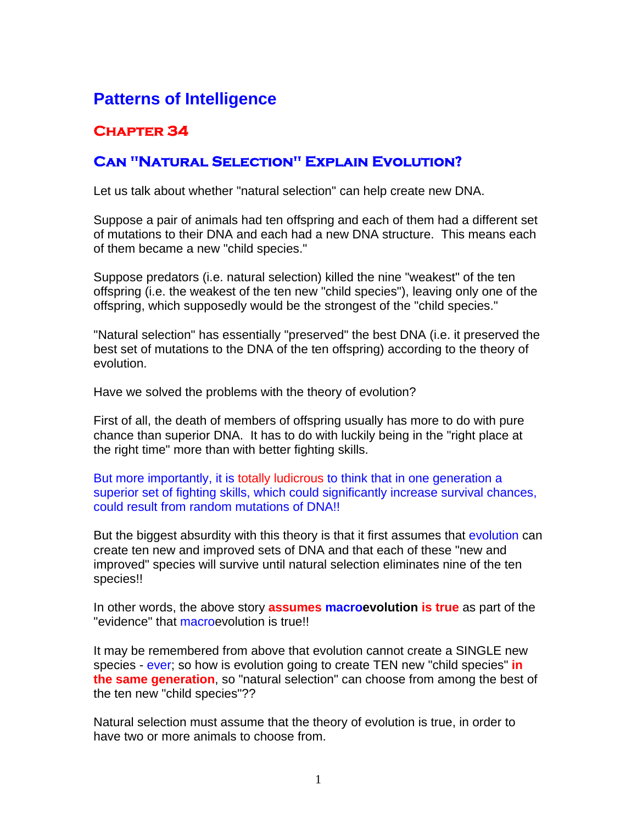## **Patterns of Intelligence**

## **Chapter 34**

## **Can "Natural Selection" Explain Evolution?**

Let us talk about whether "natural selection" can help create new DNA.

Suppose a pair of animals had ten offspring and each of them had a different set of mutations to their DNA and each had a new DNA structure. This means each of them became a new "child species."

Suppose predators (i.e. natural selection) killed the nine "weakest" of the ten offspring (i.e. the weakest of the ten new "child species"), leaving only one of the offspring, which supposedly would be the strongest of the "child species."

"Natural selection" has essentially "preserved" the best DNA (i.e. it preserved the best set of mutations to the DNA of the ten offspring) according to the theory of evolution.

Have we solved the problems with the theory of evolution?

First of all, the death of members of offspring usually has more to do with pure chance than superior DNA. It has to do with luckily being in the "right place at the right time" more than with better fighting skills.

But more importantly, it is totally ludicrous to think that in one generation a superior set of fighting skills, which could significantly increase survival chances, could result from random mutations of DNA!!

But the biggest absurdity with this theory is that it first assumes that evolution can create ten new and improved sets of DNA and that each of these "new and improved" species will survive until natural selection eliminates nine of the ten species!!

In other words, the above story **assumes macroevolution is true** as part of the "evidence" that macroevolution is true!!

It may be remembered from above that evolution cannot create a SINGLE new species - ever; so how is evolution going to create TEN new "child species" **in the same generation**, so "natural selection" can choose from among the best of the ten new "child species"??

Natural selection must assume that the theory of evolution is true, in order to have two or more animals to choose from.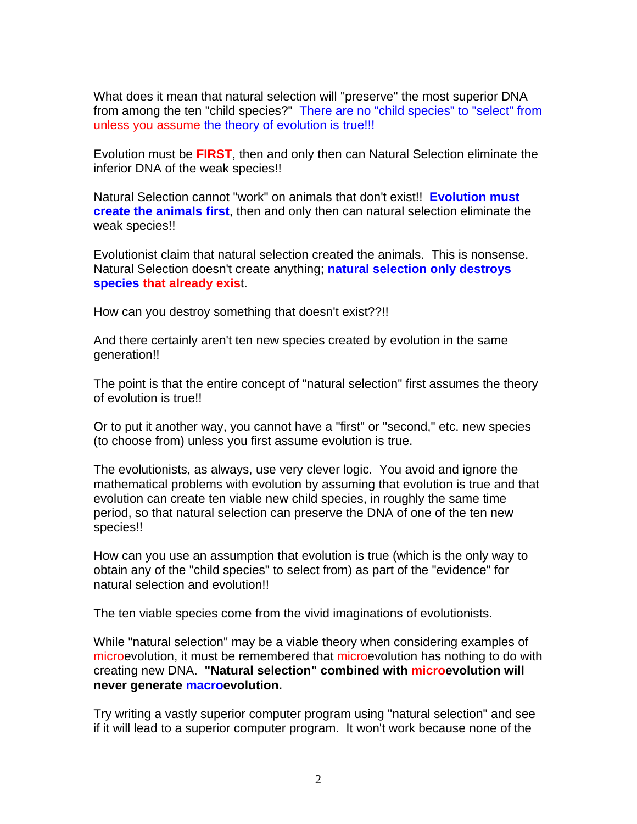What does it mean that natural selection will "preserve" the most superior DNA from among the ten "child species?" There are no "child species" to "select" from unless you assume the theory of evolution is true!!!

Evolution must be **FIRST**, then and only then can Natural Selection eliminate the inferior DNA of the weak species!!

Natural Selection cannot "work" on animals that don't exist!! **Evolution must create the animals first**, then and only then can natural selection eliminate the weak species!!

Evolutionist claim that natural selection created the animals. This is nonsense. Natural Selection doesn't create anything; **natural selection only destroys species that already exis**t.

How can you destroy something that doesn't exist??!!

And there certainly aren't ten new species created by evolution in the same generation!!

The point is that the entire concept of "natural selection" first assumes the theory of evolution is true!!

Or to put it another way, you cannot have a "first" or "second," etc. new species (to choose from) unless you first assume evolution is true.

The evolutionists, as always, use very clever logic. You avoid and ignore the mathematical problems with evolution by assuming that evolution is true and that evolution can create ten viable new child species, in roughly the same time period, so that natural selection can preserve the DNA of one of the ten new species!!

How can you use an assumption that evolution is true (which is the only way to obtain any of the "child species" to select from) as part of the "evidence" for natural selection and evolution!!

The ten viable species come from the vivid imaginations of evolutionists.

While "natural selection" may be a viable theory when considering examples of microevolution, it must be remembered that microevolution has nothing to do with creating new DNA. **"Natural selection" combined with microevolution will never generate macroevolution.**

Try writing a vastly superior computer program using "natural selection" and see if it will lead to a superior computer program. It won't work because none of the